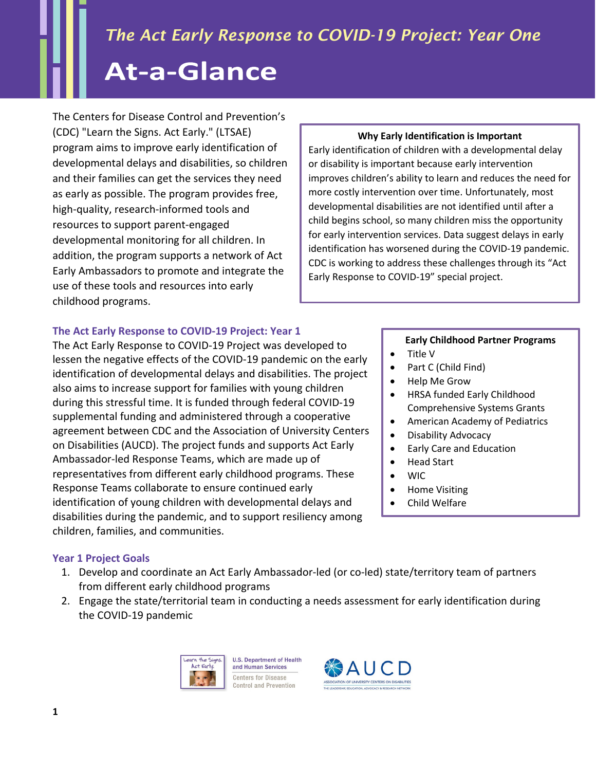The Centers for Disease Control and Prevention's (CDC) "Learn the Signs. Act Early." (LTSAE) program aims to improve early identification of developmental delays and disabilities, so children and their families can get the services they need as early as possible. The program provides free, high-quality, research-informed tools and resources to support parent-engaged developmental monitoring for all children. In addition, the program supports a network of Act Early Ambassadors to promote and integrate the use of these tools and resources into early childhood programs.

# **The Act Early Response to COVID-19 Project: Year 1**

The Act Early Response to COVID-19 Project was developed to lessen the negative effects of the COVID-19 pandemic on the early identification of developmental delays and disabilities. The project also aims to increase support for families with young children during this stressful time. It is funded through federal COVID-19 supplemental funding and administered through a cooperative agreement between CDC and the Association of University Centers on Disabilities (AUCD). The project funds and supports Act Early Ambassador-led Response Teams, which are made up of representatives from different early childhood programs. These Response Teams collaborate to ensure continued early identification of young children with developmental delays and disabilities during the pandemic, and to support resiliency among children, families, and communities.

# **Year 1 Project Goals**

- 1. Develop and coordinate an Act Early Ambassador-led (or co-led) state/territory team of partners from different early childhood programs
- 2. Engage the state/territorial team in conducting a needs assessment for early identification during the COVID-19 pandemic





### **Why Early Identification is Important**

Early identification of children with a developmental delay or disability is important because early intervention improves children's ability to learn and reduces the need for more costly intervention over time. Unfortunately, most developmental disabilities are not identified until after a child begins school, so many children miss the opportunity for early intervention services. Data suggest delays in early identification has worsened during the COVID-19 pandemic. CDC is working to address these challenges through its "Act Early Response to COVID-19" special project.

# **Early Childhood Partner Programs**

- Title V
- Part C (Child Find)
- Help Me Grow
- HRSA funded Early Childhood Comprehensive Systems Grants
- American Academy of Pediatrics
- Disability Advocacy
- Early Care and Education
- Head Start
- WIC
- Home Visiting
- Child Welfare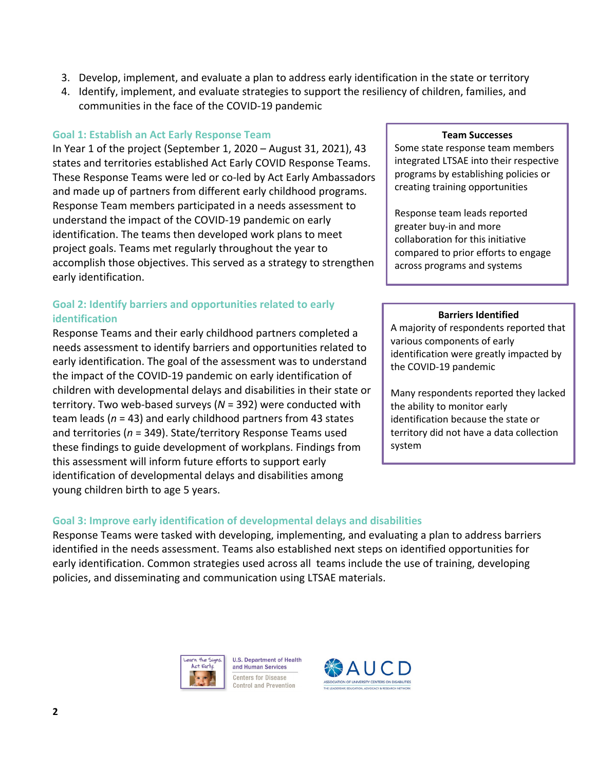- 3. Develop, implement, and evaluate a plan to address early identification in the state or territory
- 4. Identify, implement, and evaluate strategies to support the resiliency of children, families, and communities in the face of the COVID-19 pandemic

#### **Goal 1: Establish an Act Early Response Team**

In Year 1 of the project (September 1, 2020 – August 31, 2021), 43 states and territories established Act Early COVID Response Teams. These Response Teams were led or co-led by Act Early Ambassadors and made up of partners from different early childhood programs. Response Team members participated in a needs assessment to understand the impact of the COVID-19 pandemic on early identification. The teams then developed work plans to meet project goals. Teams met regularly throughout the year to accomplish those objectives. This served as a strategy to strengthen early identification.

## **Goal 2: Identify barriers and opportunities related to early identification**

Response Teams and their early childhood partners completed a needs assessment to identify barriers and opportunities related to early identification. The goal of the assessment was to understand the impact of the COVID-19 pandemic on early identification of children with developmental delays and disabilities in their state or territory. Two web-based surveys (*N* = 392) were conducted with team leads (*n* = 43) and early childhood partners from 43 states and territories (*n* = 349). State/territory Response Teams used these findings to guide development of workplans. Findings from this assessment will inform future efforts to support early identification of developmental delays and disabilities among young children birth to age 5 years.

#### **Team Successes**

Some state response team members integrated LTSAE into their respective programs by establishing policies or creating training opportunities

Response team leads reported greater buy-in and more collaboration for this initiative compared to prior efforts to engage across programs and systems

#### **Barriers Identified**

A majority of respondents reported that various components of early identification were greatly impacted by the COVID-19 pandemic

Many respondents reported they lacked the ability to monitor early identification because the state or territory did not have a data collection system

## **Goal 3: Improve early identification of developmental delays and disabilities**

Response Teams were tasked with developing, implementing, and evaluating a plan to address barriers identified in the needs assessment. Teams also established next steps on identified opportunities for early identification. Common strategies used across all teams include the use of training, developing policies, and disseminating and communication using LTSAE materials.